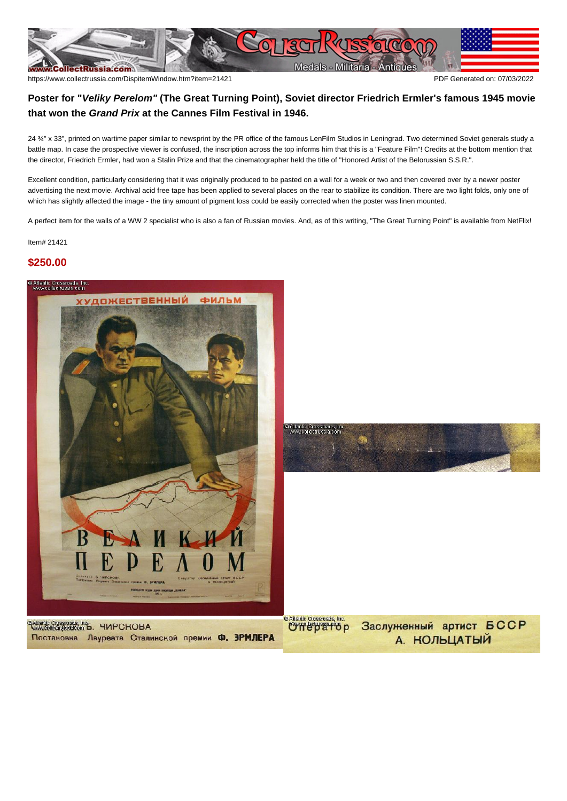

## **Poster for "Veliky Perelom" (The Great Turning Point), Soviet director Friedrich Ermler's famous 1945 movie that won the Grand Prix at the Cannes Film Festival in 1946.**

24 ¾" x 33", printed on wartime paper similar to newsprint by the PR office of the famous LenFilm Studios in Leningrad. Two determined Soviet generals study a battle map. In case the prospective viewer is confused, the inscription across the top informs him that this is a "Feature Film"! Credits at the bottom mention that the director, Friedrich Ermler, had won a Stalin Prize and that the cinematographer held the title of "Honored Artist of the Belorussian S.S.R.".

Excellent condition, particularly considering that it was originally produced to be pasted on a wall for a week or two and then covered over by a newer poster advertising the next movie. Archival acid free tape has been applied to several places on the rear to stabilize its condition. There are two light folds, only one of which has slightly affected the image - the tiny amount of pigment loss could be easily corrected when the poster was linen mounted.

A perfect item for the walls of a WW 2 specialist who is also a fan of Russian movies. And, as of this writing, "The Great Turning Point" is available from NetFlix!

Item# 21421

## **\$250.00**